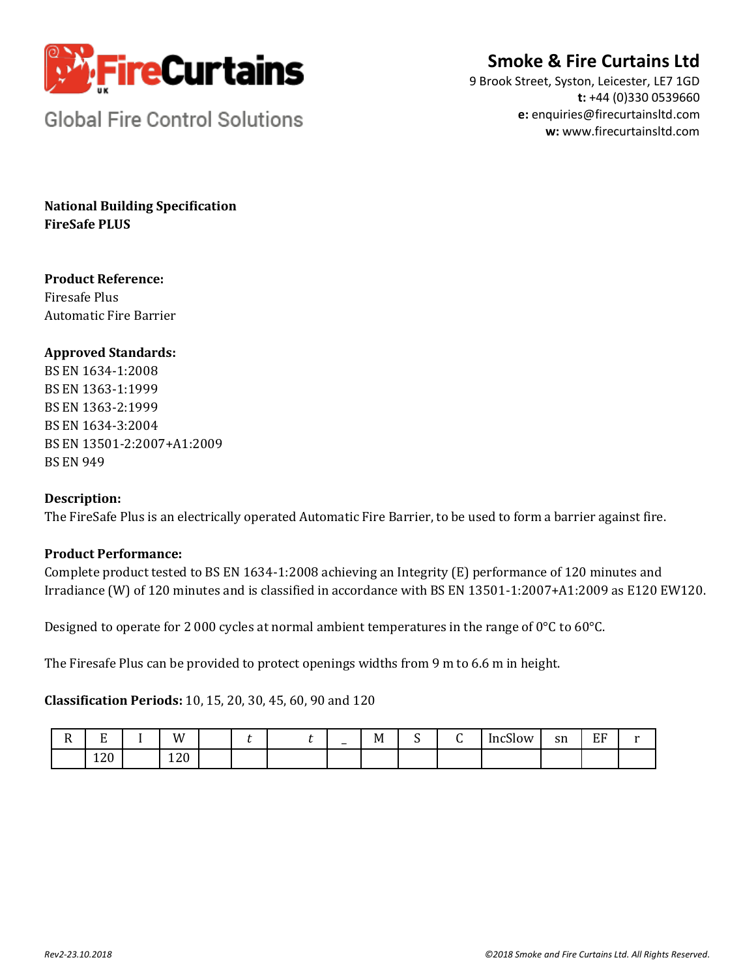

# **Smoke & Fire Curtains Ltd**

9 Brook Street, Syston, Leicester, LE7 1GD **t:** +44 (0)330 0539660 **e:** enquiries@firecurtainsltd.com **w:** [www.firecurtainsltd.com](http://www.firecurtainsltd.com/)

**Global Fire Control Solutions** 

**National Building Specification FireSafe PLUS**

# **Product Reference:**

Firesafe Plus Automatic Fire Barrier

## **Approved Standards:**

BS EN 1634-1:2008 BS EN 1363-1:1999 BS EN 1363-2:1999 BS EN 1634-3:2004 BS EN 13501-2:2007+A1:2009 BS EN 949

### **Description:**

The FireSafe Plus is an electrically operated Automatic Fire Barrier, to be used to form a barrier against fire.

# **Product Performance:**

Complete product tested to BS EN 1634-1:2008 achieving an Integrity (E) performance of 120 minutes and Irradiance (W) of 120 minutes and is classified in accordance with BS EN 13501-1:2007+A1:2009 as E120 EW120.

Designed to operate for 2 000 cycles at normal ambient temperatures in the range of 0°C to 60°C.

The Firesafe Plus can be provided to protect openings widths from 9 m to 6.6 m in height.

**Classification Periods:** 10, 15, 20, 30, 45, 60, 90 and 120

| -<br>. . | $\blacksquare$<br><u>ы</u> | W         |  | $\overline{\phantom{0}}$ | -<br>M<br>. | . . | - | $\mathbf{a}$<br>IncSlow | $\alpha$<br>211 | EF | -- |
|----------|----------------------------|-----------|--|--------------------------|-------------|-----|---|-------------------------|-----------------|----|----|
|          | 120                        | ാറ<br>14U |  |                          |             |     |   |                         |                 |    |    |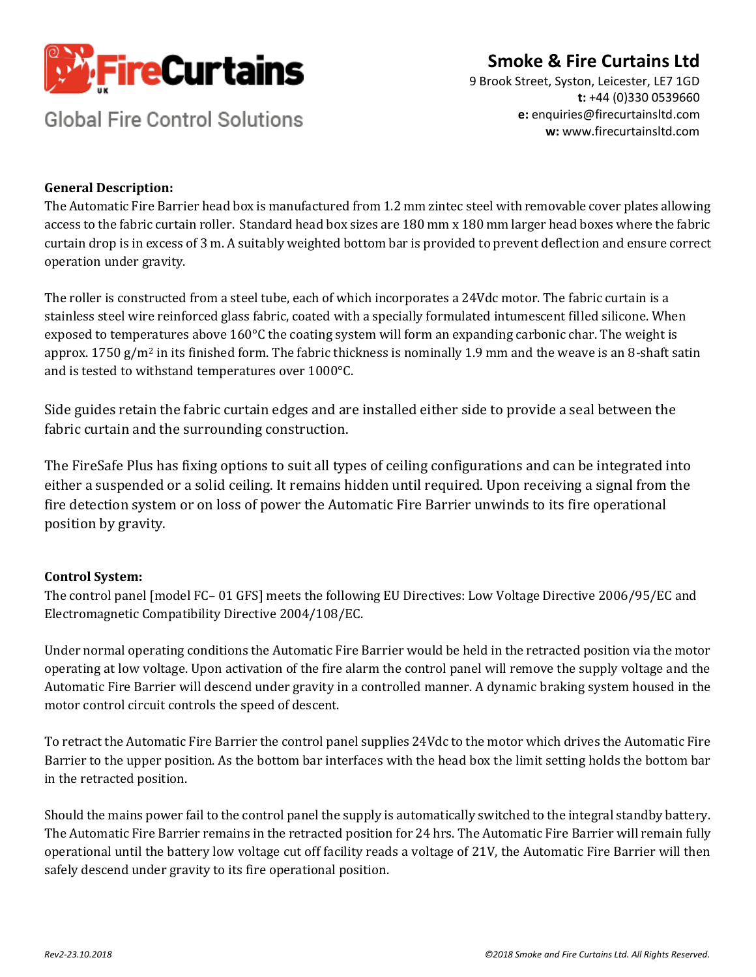

# **Smoke & Fire Curtains Ltd**

**Global Fire Control Solutions** 

9 Brook Street, Syston, Leicester, LE7 1GD **t:** +44 (0)330 0539660 **e:** enquiries@firecurtainsltd.com **w:** [www.firecurtainsltd.com](http://www.firecurtainsltd.com/)

### **General Description:**

The Automatic Fire Barrier head box is manufactured from 1.2 mm zintec steel with removable cover plates allowing access to the fabric curtain roller. Standard head box sizes are 180 mm x 180 mm larger head boxes where the fabric curtain drop is in excess of 3 m. A suitably weighted bottom bar is provided to prevent deflection and ensure correct operation under gravity.

The roller is constructed from a steel tube, each of which incorporates a 24Vdc motor. The fabric curtain is a stainless steel wire reinforced glass fabric, coated with a specially formulated intumescent filled silicone. When exposed to temperatures above 160°C the coating system will form an expanding carbonic char. The weight is approx. 1750 g/m<sup>2</sup> in its finished form. The fabric thickness is nominally 1.9 mm and the weave is an 8-shaft satin and is tested to withstand temperatures over 1000°C.

Side guides retain the fabric curtain edges and are installed either side to provide a seal between the fabric curtain and the surrounding construction.

The FireSafe Plus has fixing options to suit all types of ceiling configurations and can be integrated into either a suspended or a solid ceiling. It remains hidden until required. Upon receiving a signal from the fire detection system or on loss of power the Automatic Fire Barrier unwinds to its fire operational position by gravity.

### **Control System:**

The control panel [model FC– 01 GFS] meets the following EU Directives: Low Voltage Directive 2006/95/EC and Electromagnetic Compatibility Directive 2004/108/EC.

Under normal operating conditions the Automatic Fire Barrier would be held in the retracted position via the motor operating at low voltage. Upon activation of the fire alarm the control panel will remove the supply voltage and the Automatic Fire Barrier will descend under gravity in a controlled manner. A dynamic braking system housed in the motor control circuit controls the speed of descent.

To retract the Automatic Fire Barrier the control panel supplies 24Vdc to the motor which drives the Automatic Fire Barrier to the upper position. As the bottom bar interfaces with the head box the limit setting holds the bottom bar in the retracted position.

Should the mains power fail to the control panel the supply is automatically switched to the integral standby battery. The Automatic Fire Barrier remains in the retracted position for 24 hrs. The Automatic Fire Barrier will remain fully operational until the battery low voltage cut off facility reads a voltage of 21V, the Automatic Fire Barrier will then safely descend under gravity to its fire operational position.